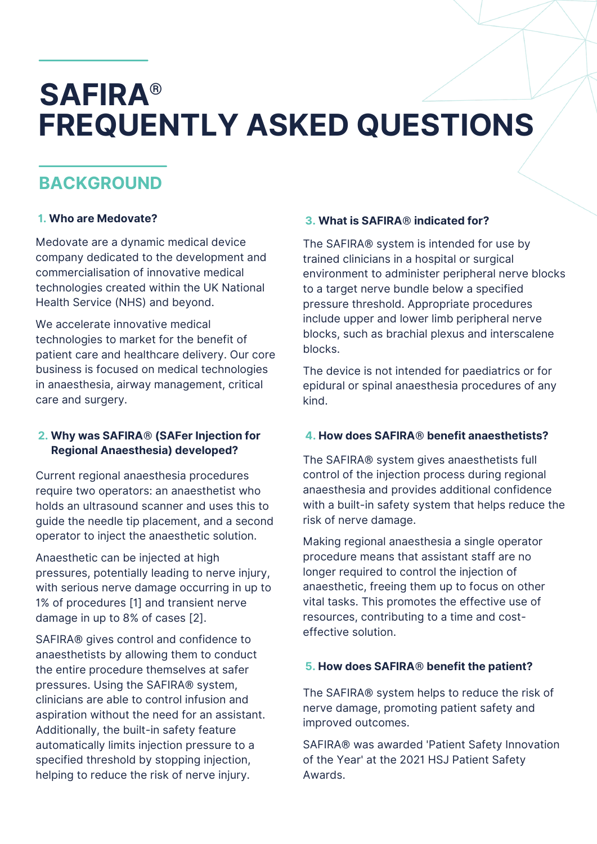# **SAFIRA® FREQUENTLY ASKED QUESTIONS**

# **BACKGROUND**

### **'1. Who are Medovate?**

Medovate are a dynamic medical device company dedicated to the development and commercialisation of innovative medical technologies created within the UK National Health Service (NHS) and beyond.

We accelerate innovative medical technologies to market for the benefit of patient care and healthcare delivery. Our core business is focused on medical technologies in anaesthesia, airway management, critical care and surgery.

### **'2. Why was SAFIRA® (SAFer Injection for Regional Anaesthesia) developed?**

Current regional anaesthesia procedures require two operators: an anaesthetist who holds an ultrasound scanner and uses this to guide the needle tip placement, and a second operator to inject the anaesthetic solution.

Anaesthetic can be injected at high pressures, potentially leading to nerve injury, with serious nerve damage occurring in up to 1% of procedures [1] and transient nerve damage in up to 8% of cases [2].

SAFIRA® gives control and confidence to anaesthetists by allowing them to conduct the entire procedure themselves at safer pressures. Using the SAFIRA® system, clinicians are able to control infusion and aspiration without the need for an assistant. Additionally, the built-in safety feature automatically limits injection pressure to a specified threshold by stopping injection, helping to reduce the risk of nerve injury.

### **'3. What is SAFIRA® indicated for?**

The SAFIRA® system is intended for use by trained clinicians in a hospital or surgical environment to administer peripheral nerve blocks to a target nerve bundle below a specified pressure threshold. Appropriate procedures include upper and lower limb peripheral nerve blocks, such as brachial plexus and interscalene blocks.

The device is not intended for paediatrics or for epidural or spinal anaesthesia procedures of any kind.

### **'4. How does SAFIRA® benefit anaesthetists?**

The SAFIRA® system gives anaesthetists full control of the injection process during regional anaesthesia and provides additional confidence with a built-in safety system that helps reduce the risk of nerve damage.

Making regional anaesthesia a single operator procedure means that assistant staff are no longer required to control the injection of anaesthetic, freeing them up to focus on other vital tasks. This promotes the effective use of resources, contributing to a time and costeffective solution.

### **'5. How does SAFIRA® benefit the patient?**

The SAFIRA® system helps to reduce the risk of nerve damage, promoting patient safety and improved outcomes.

SAFIRA® was awarded 'Patient Safety Innovation of the Year' at the 2021 HSJ Patient Safety Awards.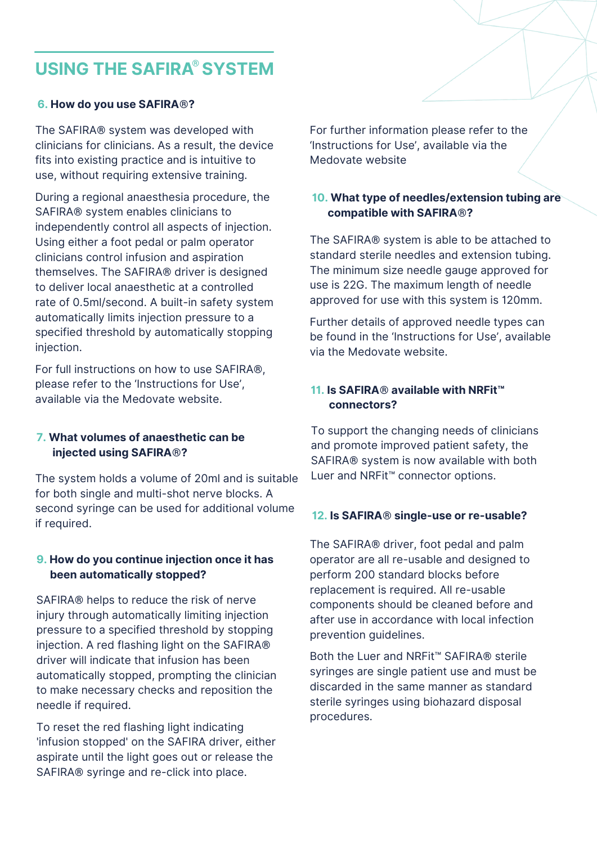# **USING THE SAFIRA SYSTEM ®**

#### **'6. How do you use SAFIRA®?**

The SAFIRA® system was developed with clinicians for clinicians. As a result, the device fits into existing practice and is intuitive to use, without requiring extensive training.

During a regional anaesthesia procedure, the SAFIRA® system enables clinicians to independently control all aspects of injection. Using either a foot pedal or palm operator clinicians control infusion and aspiration themselves. The SAFIRA® driver is designed to deliver local anaesthetic at a controlled rate of 0.5ml/second. A built-in safety system automatically limits injection pressure to a specified threshold by automatically stopping injection.

For full instructions on how to use SAFIRA®, please refer to the 'Instructions for Use', available via the Medovate website.

#### **'7. What volumes of anaesthetic can be \_\_\_injected using SAFIRA®?**

The system holds a volume of 20ml and is suitable for both single and multi-shot nerve blocks. A second syringe can be used for additional volume if required.

#### **'9. How do you continue injection once it has \_\_\_been automatically stopped?**

SAFIRA® helps to reduce the risk of nerve injury through automatically limiting injection pressure to a specified threshold by stopping injection. A red flashing light on the SAFIRA® driver will indicate that infusion has been automatically stopped, prompting the clinician to make necessary checks and reposition the needle if required.

To reset the red flashing light indicating 'infusion stopped' on the SAFIRA driver, either aspirate until the light goes out or release the SAFIRA® syringe and re-click into place.

For further information please refer to the 'Instructions for Use', available via the Medovate website

#### **'10. What type of needles/extension tubing are compatible with SAFIRA®?**

The SAFIRA® system is able to be attached to standard sterile needles and extension tubing. The minimum size needle gauge approved for use is 22G. The maximum length of needle approved for use with this system is 120mm.

Further details of approved needle types can be found in the 'Instructions for Use', available via the Medovate website.

### **'11. Is SAFIRA® available with NRFit™ connectors?**

To support the changing needs of clinicians and promote improved patient safety, the SAFIRA® system is now available with both Luer and NRFit™ connector options.

#### **'12. Is SAFIRA® single-use or re-usable?**

The SAFIRA® driver, foot pedal and palm operator are all re-usable and designed to perform 200 standard blocks before replacement is required. All re-usable components should be cleaned before and after use in accordance with local infection prevention guidelines.

Both the Luer and NRFit™ SAFIRA® sterile syringes are single patient use and must be discarded in the same manner as standard sterile syringes using biohazard disposal procedures.